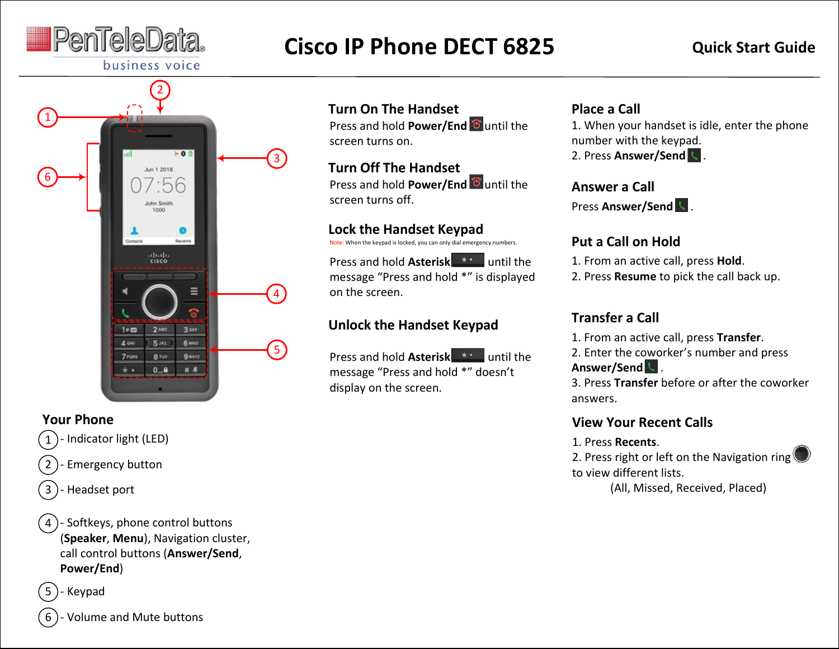

# **Cisco IP Phone DECT 6825 Quick Start Guide**



#### **Your Phone**

- Indicator light (LED) 1
- Emergency button 2
- Headset port 3

- Softkeys, phone control buttons (**Speaker**, **Menu**), Navigation cluster, call control buttons (**Answer/Send**, **Power/End**) 4



6

- Volume and Mute buttons

# **Turn On The Handset**

Press and hold **Power/End** Tuntil the screen turns on.

# **Turn Off The Handset**

Press and hold **Power/End C** until the screen turns off.

#### **Lock the Handset Keypad**

Note: When the keypad is locked, you can only dial emergency numbers.

Press and hold **Asterisk** \*\* until the message "Press and hold \*" is displayed on the screen.

# **Unlock the Handset Keypad**

Press and hold **Asterisk** \*\* until the message "Press and hold \*" doesn't display on the screen.

## **Place a Call**

1. When your handset is idle, enter the phone number with the keypad.

2. Press **Answer/Send** .

#### **Answer a Call**

Press **Answer/Send** .

# **Put a Call on Hold**

- 1. From an active call, press **Hold**.
- 2. Press **Resume** to pick the call back up.

# **Transfer a Call**

1. From an active call, press **Transfer**.

2. Enter the coworker's number and press **Answer/Send** .

3. Press **Transfer** before or after the coworker answers.

#### **View Your Recent Calls**

#### 1. Press **Recents**.

2. Press right or left on the Navigation ring to view different lists.

(All, Missed, Received, Placed)